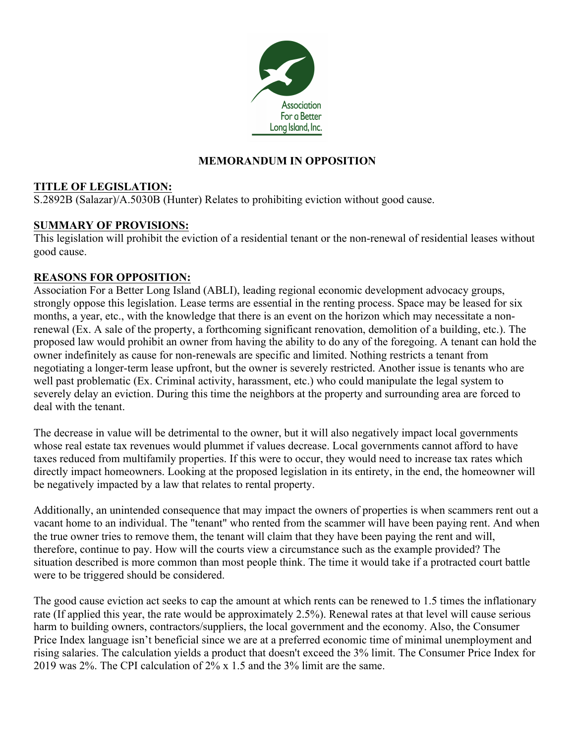

# **MEMORANDUM IN OPPOSITION**

## **TITLE OF LEGISLATION:**

S.2892B (Salazar)/A.5030B (Hunter) Relates to prohibiting eviction without good cause.

## **SUMMARY OF PROVISIONS:**

This legislation will prohibit the eviction of a residential tenant or the non-renewal of residential leases without good cause.

## **REASONS FOR OPPOSITION:**

Association For a Better Long Island (ABLI), leading regional economic development advocacy groups, strongly oppose this legislation. Lease terms are essential in the renting process. Space may be leased for six months, a year, etc., with the knowledge that there is an event on the horizon which may necessitate a nonrenewal (Ex. A sale of the property, a forthcoming significant renovation, demolition of a building, etc.). The proposed law would prohibit an owner from having the ability to do any of the foregoing. A tenant can hold the owner indefinitely as cause for non-renewals are specific and limited. Nothing restricts a tenant from negotiating a longer-term lease upfront, but the owner is severely restricted. Another issue is tenants who are well past problematic (Ex. Criminal activity, harassment, etc.) who could manipulate the legal system to severely delay an eviction. During this time the neighbors at the property and surrounding area are forced to deal with the tenant.

The decrease in value will be detrimental to the owner, but it will also negatively impact local governments whose real estate tax revenues would plummet if values decrease. Local governments cannot afford to have taxes reduced from multifamily properties. If this were to occur, they would need to increase tax rates which directly impact homeowners. Looking at the proposed legislation in its entirety, in the end, the homeowner will be negatively impacted by a law that relates to rental property.

Additionally, an unintended consequence that may impact the owners of properties is when scammers rent out a vacant home to an individual. The "tenant" who rented from the scammer will have been paying rent. And when the true owner tries to remove them, the tenant will claim that they have been paying the rent and will, therefore, continue to pay. How will the courts view a circumstance such as the example provided? The situation described is more common than most people think. The time it would take if a protracted court battle were to be triggered should be considered.

The good cause eviction act seeks to cap the amount at which rents can be renewed to 1.5 times the inflationary rate (If applied this year, the rate would be approximately 2.5%). Renewal rates at that level will cause serious harm to building owners, contractors/suppliers, the local government and the economy. Also, the Consumer Price Index language isn't beneficial since we are at a preferred economic time of minimal unemployment and rising salaries. The calculation yields a product that doesn't exceed the 3% limit. The Consumer Price Index for 2019 was 2%. The CPI calculation of 2% x 1.5 and the 3% limit are the same.